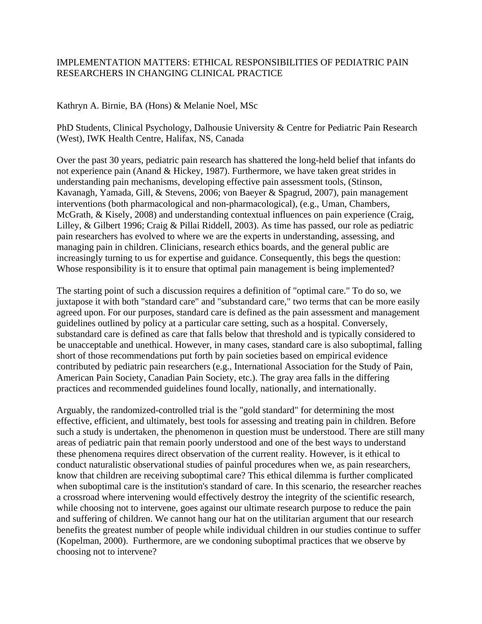## IMPLEMENTATION MATTERS: ETHICAL RESPONSIBILITIES OF PEDIATRIC PAIN RESEARCHERS IN CHANGING CLINICAL PRACTICE

## Kathryn A. Birnie, BA (Hons) & Melanie Noel, MSc

PhD Students, Clinical Psychology, Dalhousie University & Centre for Pediatric Pain Research (West), IWK Health Centre, Halifax, NS, Canada

Over the past 30 years, pediatric pain research has shattered the long-held belief that infants do not experience pain (Anand & Hickey, 1987). Furthermore, we have taken great strides in understanding pain mechanisms, developing effective pain assessment tools, (Stinson, Kavanagh, Yamada, Gill, & Stevens, 2006; von Baeyer & Spagrud, 2007), pain management interventions (both pharmacological and non-pharmacological), (e.g., Uman, Chambers, McGrath, & Kisely, 2008) and understanding contextual influences on pain experience (Craig, Lilley, & Gilbert 1996; Craig & Pillai Riddell, 2003). As time has passed, our role as pediatric pain researchers has evolved to where we are the experts in understanding, assessing, and managing pain in children. Clinicians, research ethics boards, and the general public are increasingly turning to us for expertise and guidance. Consequently, this begs the question: Whose responsibility is it to ensure that optimal pain management is being implemented?

The starting point of such a discussion requires a definition of "optimal care." To do so, we juxtapose it with both "standard care" and "substandard care," two terms that can be more easily agreed upon. For our purposes, standard care is defined as the pain assessment and management guidelines outlined by policy at a particular care setting, such as a hospital. Conversely, substandard care is defined as care that falls below that threshold and is typically considered to be unacceptable and unethical. However, in many cases, standard care is also suboptimal, falling short of those recommendations put forth by pain societies based on empirical evidence contributed by pediatric pain researchers (e.g., International Association for the Study of Pain, American Pain Society, Canadian Pain Society, etc.). The gray area falls in the differing practices and recommended guidelines found locally, nationally, and internationally.

Arguably, the randomized-controlled trial is the "gold standard" for determining the most effective, efficient, and ultimately, best tools for assessing and treating pain in children. Before such a study is undertaken, the phenomenon in question must be understood. There are still many areas of pediatric pain that remain poorly understood and one of the best ways to understand these phenomena requires direct observation of the current reality. However, is it ethical to conduct naturalistic observational studies of painful procedures when we, as pain researchers, know that children are receiving suboptimal care? This ethical dilemma is further complicated when suboptimal care is the institution's standard of care. In this scenario, the researcher reaches a crossroad where intervening would effectively destroy the integrity of the scientific research, while choosing not to intervene, goes against our ultimate research purpose to reduce the pain and suffering of children. We cannot hang our hat on the utilitarian argument that our research benefits the greatest number of people while individual children in our studies continue to suffer (Kopelman, 2000). Furthermore, are we condoning suboptimal practices that we observe by choosing not to intervene?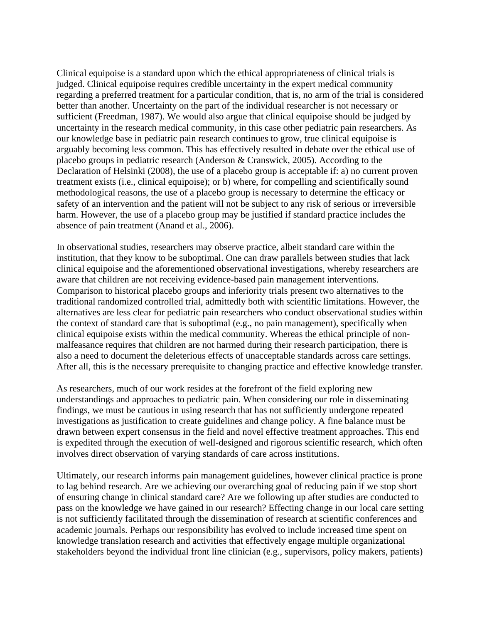Clinical equipoise is a standard upon which the ethical appropriateness of clinical trials is judged. Clinical equipoise requires credible uncertainty in the expert medical community regarding a preferred treatment for a particular condition, that is, no arm of the trial is considered better than another. Uncertainty on the part of the individual researcher is not necessary or sufficient (Freedman, 1987). We would also argue that clinical equipoise should be judged by uncertainty in the research medical community, in this case other pediatric pain researchers. As our knowledge base in pediatric pain research continues to grow, true clinical equipoise is arguably becoming less common. This has effectively resulted in debate over the ethical use of placebo groups in pediatric research (Anderson & Cranswick, 2005). According to the Declaration of Helsinki (2008), the use of a placebo group is acceptable if: a) no current proven treatment exists (i.e., clinical equipoise); or b) where, for compelling and scientifically sound methodological reasons, the use of a placebo group is necessary to determine the efficacy or safety of an intervention and the patient will not be subject to any risk of serious or irreversible harm. However, the use of a placebo group may be justified if standard practice includes the absence of pain treatment (Anand et al., 2006).

In observational studies, researchers may observe practice, albeit standard care within the institution, that they know to be suboptimal. One can draw parallels between studies that lack clinical equipoise and the aforementioned observational investigations, whereby researchers are aware that children are not receiving evidence-based pain management interventions. Comparison to historical placebo groups and inferiority trials present two alternatives to the traditional randomized controlled trial, admittedly both with scientific limitations. However, the alternatives are less clear for pediatric pain researchers who conduct observational studies within the context of standard care that is suboptimal (e.g., no pain management), specifically when clinical equipoise exists within the medical community. Whereas the ethical principle of nonmalfeasance requires that children are not harmed during their research participation, there is also a need to document the deleterious effects of unacceptable standards across care settings. After all, this is the necessary prerequisite to changing practice and effective knowledge transfer.

As researchers, much of our work resides at the forefront of the field exploring new understandings and approaches to pediatric pain. When considering our role in disseminating findings, we must be cautious in using research that has not sufficiently undergone repeated investigations as justification to create guidelines and change policy. A fine balance must be drawn between expert consensus in the field and novel effective treatment approaches. This end is expedited through the execution of well-designed and rigorous scientific research, which often involves direct observation of varying standards of care across institutions.

Ultimately, our research informs pain management guidelines, however clinical practice is prone to lag behind research. Are we achieving our overarching goal of reducing pain if we stop short of ensuring change in clinical standard care? Are we following up after studies are conducted to pass on the knowledge we have gained in our research? Effecting change in our local care setting is not sufficiently facilitated through the dissemination of research at scientific conferences and academic journals. Perhaps our responsibility has evolved to include increased time spent on knowledge translation research and activities that effectively engage multiple organizational stakeholders beyond the individual front line clinician (e.g., supervisors, policy makers, patients)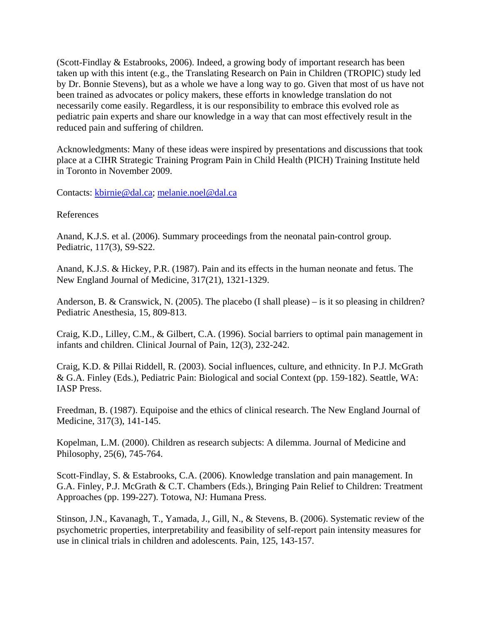(Scott-Findlay & Estabrooks, 2006). Indeed, a growing body of important research has been taken up with this intent (e.g., the Translating Research on Pain in Children (TROPIC) study led by Dr. Bonnie Stevens), but as a whole we have a long way to go. Given that most of us have not been trained as advocates or policy makers, these efforts in knowledge translation do not necessarily come easily. Regardless, it is our responsibility to embrace this evolved role as pediatric pain experts and share our knowledge in a way that can most effectively result in the reduced pain and suffering of children.

Acknowledgments: Many of these ideas were inspired by presentations and discussions that took place at a CIHR Strategic Training Program Pain in Child Health (PICH) Training Institute held in Toronto in November 2009.

Contacts: [kbirnie@dal.ca;](mailto:kbirnie@dal.ca) [melanie.noel@dal.ca](mailto:melanie.noel@dal.ca)

References

Anand, K.J.S. et al. (2006). Summary proceedings from the neonatal pain-control group. Pediatric, 117(3), S9-S22.

Anand, K.J.S. & Hickey, P.R. (1987). Pain and its effects in the human neonate and fetus. The New England Journal of Medicine, 317(21), 1321-1329.

Anderson, B. & Cranswick, N. (2005). The placebo (I shall please) – is it so pleasing in children? Pediatric Anesthesia, 15, 809-813.

Craig, K.D., Lilley, C.M., & Gilbert, C.A. (1996). Social barriers to optimal pain management in infants and children. Clinical Journal of Pain, 12(3), 232-242.

Craig, K.D. & Pillai Riddell, R. (2003). Social influences, culture, and ethnicity. In P.J. McGrath & G.A. Finley (Eds.), Pediatric Pain: Biological and social Context (pp. 159-182). Seattle, WA: IASP Press.

Freedman, B. (1987). Equipoise and the ethics of clinical research. The New England Journal of Medicine, 317(3), 141-145.

Kopelman, L.M. (2000). Children as research subjects: A dilemma. Journal of Medicine and Philosophy, 25(6), 745-764.

Scott-Findlay, S. & Estabrooks, C.A. (2006). Knowledge translation and pain management. In G.A. Finley, P.J. McGrath & C.T. Chambers (Eds.), Bringing Pain Relief to Children: Treatment Approaches (pp. 199-227). Totowa, NJ: Humana Press.

Stinson, J.N., Kavanagh, T., Yamada, J., Gill, N., & Stevens, B. (2006). Systematic review of the psychometric properties, interpretability and feasibility of self-report pain intensity measures for use in clinical trials in children and adolescents. Pain, 125, 143-157.